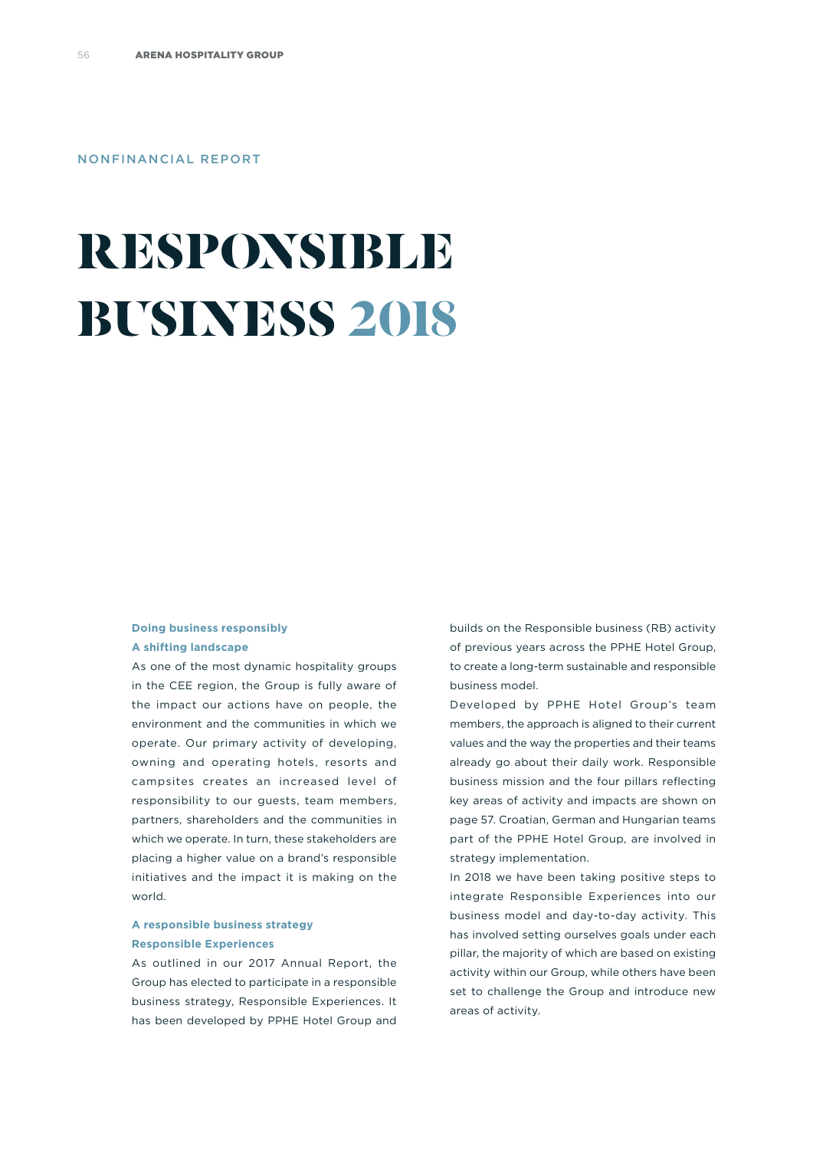#### NONFINANCIAL REPORT

# **RESPONSIBLE BUSINESS 2018**

#### **Doing business responsibly A shifting landscape**

As one of the most dynamic hospitality groups in the CEE region, the Group is fully aware of the impact our actions have on people, the environment and the communities in which we operate. Our primary activity of developing, owning and operating hotels, resorts and campsites creates an increased level of responsibility to our guests, team members, partners, shareholders and the communities in which we operate. In turn, these stakeholders are placing a higher value on a brand's responsible initiatives and the impact it is making on the world.

#### **A responsible business strategy Responsible Experiences**

As outlined in our 2017 Annual Report, the Group has elected to participate in a responsible business strategy, Responsible Experiences. It has been developed by PPHE Hotel Group and builds on the Responsible business (RB) activity of previous years across the PPHE Hotel Group, to create a long-term sustainable and responsible business model.

Developed by PPHE Hotel Group's team members, the approach is aligned to their current values and the way the properties and their teams already go about their daily work. Responsible business mission and the four pillars reflecting key areas of activity and impacts are shown on page 57. Croatian, German and Hungarian teams part of the PPHE Hotel Group, are involved in strategy implementation.

In 2018 we have been taking positive steps to integrate Responsible Experiences into our business model and day-to-day activity. This has involved setting ourselves goals under each pillar, the majority of which are based on existing activity within our Group, while others have been set to challenge the Group and introduce new areas of activity.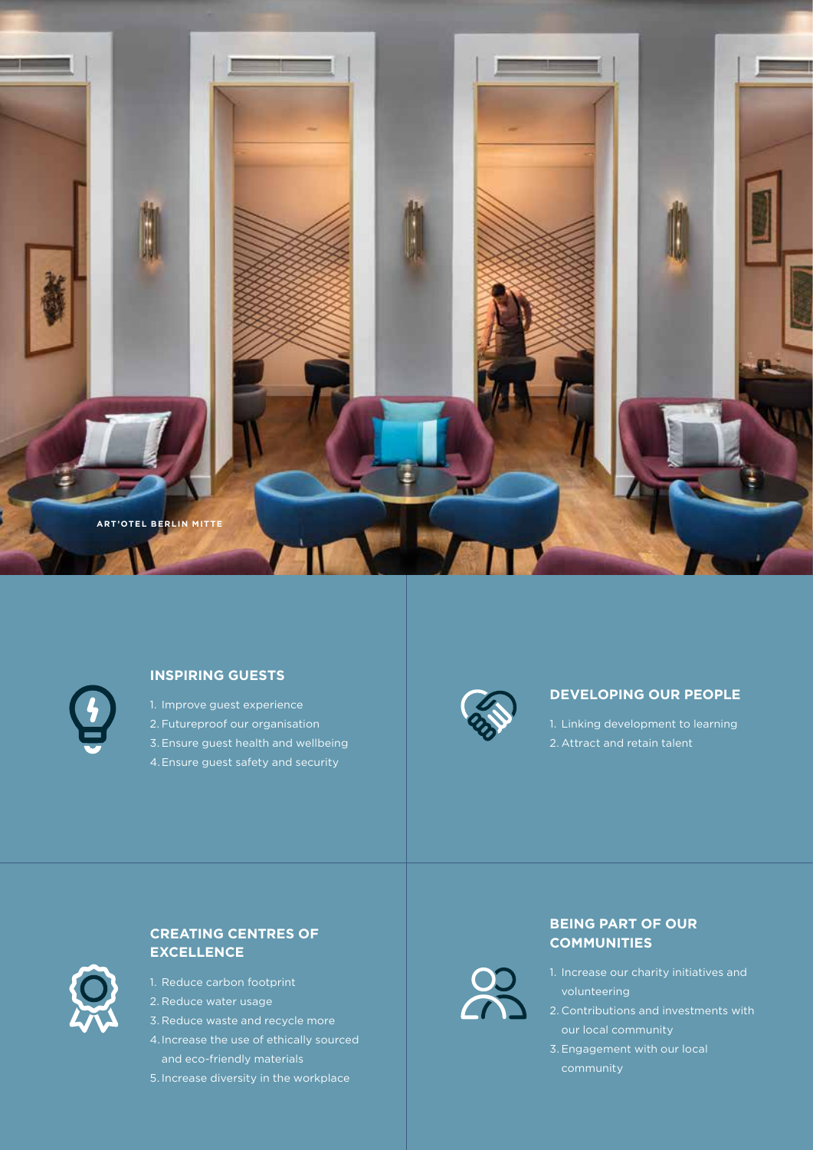



#### **INSPIRING GUESTS**

1. Improve guest experience 2. Futureproof our organisation 3. Ensure guest health and wellbeing 4.Ensure guest safety and security



28

#### **DEVELOPING OUR PEOPLE**

1. Linking development to learning 2. Attract and retain talent



## **CREATING CENTRES OF EXCELLENCE**

- 1. Reduce carbon footprint
- 2. Reduce water usage
- 3. Reduce waste and recycle more
- and eco-friendly materials
- 5. Increase diversity in the workplace

### **BEING PART OF OUR COMMUNITIES**

- volunteering
- 2. Contributions and investments with
- 3. Engagement with our local community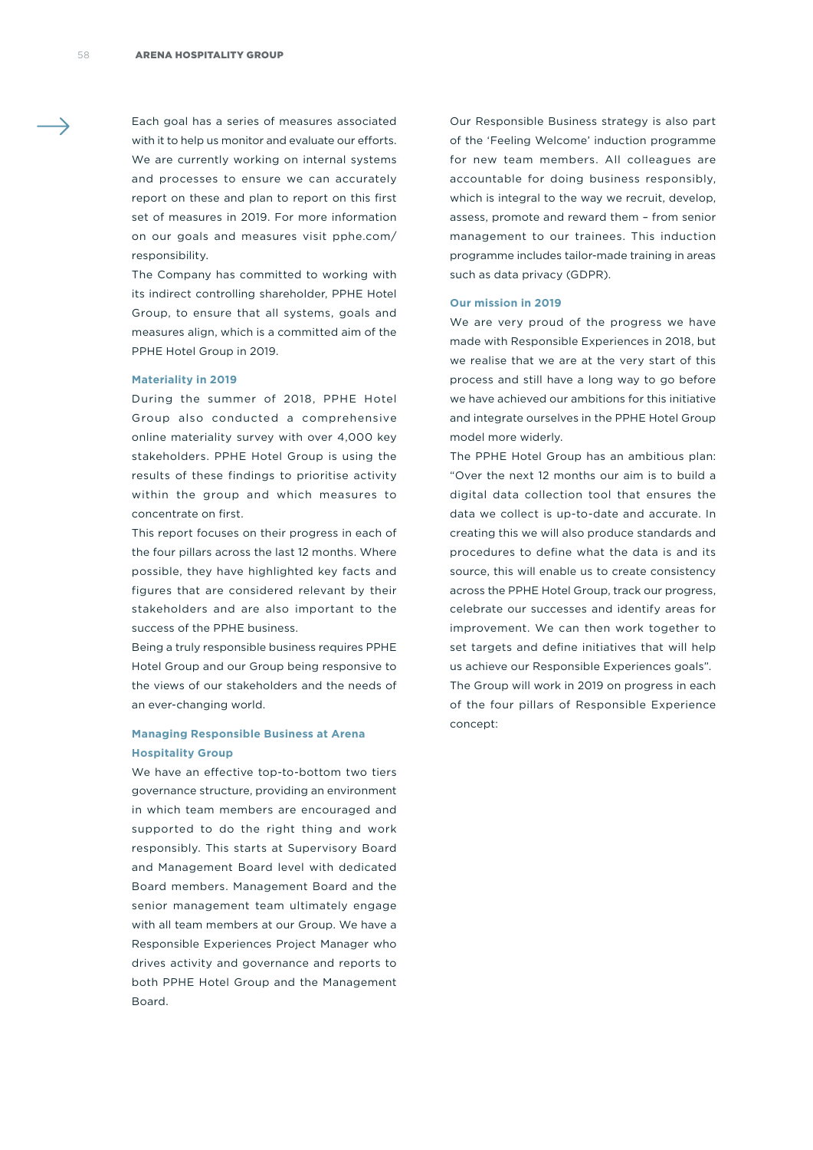Each goal has a series of measures associated with it to help us monitor and evaluate our efforts. We are currently working on internal systems and processes to ensure we can accurately report on these and plan to report on this first set of measures in 2019. For more information on our goals and measures visit pphe.com/ responsibility.

The Company has committed to working with its indirect controlling shareholder, PPHE Hotel Group, to ensure that all systems, goals and measures align, which is a committed aim of the PPHE Hotel Group in 2019.

#### **Materiality in 2019**

During the summer of 2018, PPHE Hotel Group also conducted a comprehensive online materiality survey with over 4,000 key stakeholders. PPHE Hotel Group is using the results of these findings to prioritise activity within the group and which measures to concentrate on first.

This report focuses on their progress in each of the four pillars across the last 12 months. Where possible, they have highlighted key facts and figures that are considered relevant by their stakeholders and are also important to the success of the PPHE business.

Being a truly responsible business requires PPHE Hotel Group and our Group being responsive to the views of our stakeholders and the needs of an ever-changing world.

#### **Managing Responsible Business at Arena Hospitality Group**

We have an effective top-to-bottom two tiers governance structure, providing an environment in which team members are encouraged and supported to do the right thing and work responsibly. This starts at Supervisory Board and Management Board level with dedicated Board members. Management Board and the senior management team ultimately engage with all team members at our Group. We have a Responsible Experiences Project Manager who drives activity and governance and reports to both PPHE Hotel Group and the Management Board.

Our Responsible Business strategy is also part of the 'Feeling Welcome' induction programme for new team members. All colleagues are accountable for doing business responsibly, which is integral to the way we recruit, develop, assess, promote and reward them – from senior management to our trainees. This induction programme includes tailor-made training in areas such as data privacy (GDPR).

#### **Our mission in 2019**

We are very proud of the progress we have made with Responsible Experiences in 2018, but we realise that we are at the very start of this process and still have a long way to go before we have achieved our ambitions for this initiative and integrate ourselves in the PPHE Hotel Group model more widerly.

The PPHE Hotel Group has an ambitious plan: "Over the next 12 months our aim is to build a digital data collection tool that ensures the data we collect is up-to-date and accurate. In creating this we will also produce standards and procedures to define what the data is and its source, this will enable us to create consistency across the PPHE Hotel Group, track our progress, celebrate our successes and identify areas for improvement. We can then work together to set targets and define initiatives that will help us achieve our Responsible Experiences goals". The Group will work in 2019 on progress in each of the four pillars of Responsible Experience concept: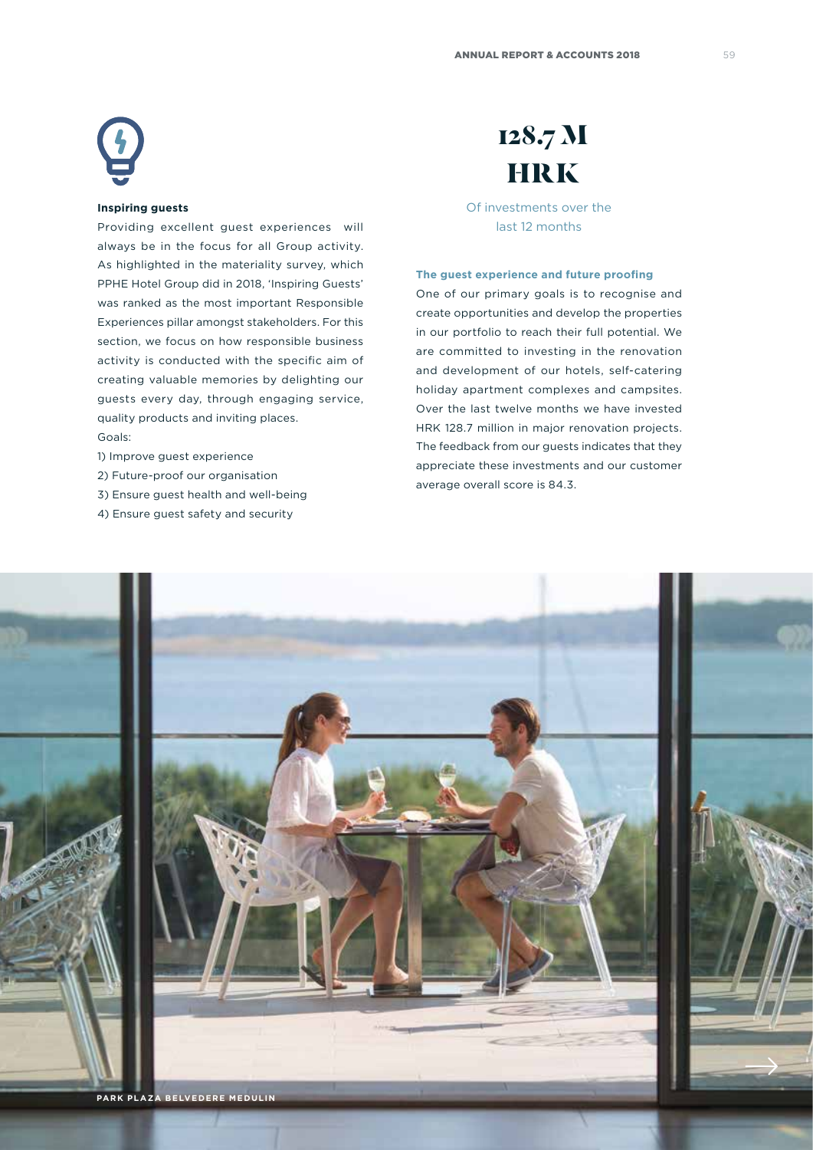#### **Inspiring guests**

Providing excellent guest experiences will always be in the focus for all Group activity. As highlighted in the materiality survey, which PPHE Hotel Group did in 2018, 'Inspiring Guests' was ranked as the most important Responsible Experiences pillar amongst stakeholders. For this section, we focus on how responsible business activity is conducted with the specific aim of creating valuable memories by delighting our guests every day, through engaging service, quality products and inviting places. Goals:

- 1) Improve guest experience
- 2) Future-proof our organisation
- 3) Ensure guest health and well-being
- 4) Ensure guest safety and security

# **128.7 M HRK**

Of investments over the last 12 months

#### **The guest experience and future proofing**

One of our primary goals is to recognise and create opportunities and develop the properties in our portfolio to reach their full potential. We are committed to investing in the renovation and development of our hotels, self-catering holiday apartment complexes and campsites. Over the last twelve months we have invested HRK 128.7 million in major renovation projects. The feedback from our guests indicates that they appreciate these investments and our customer average overall score is 84.3.

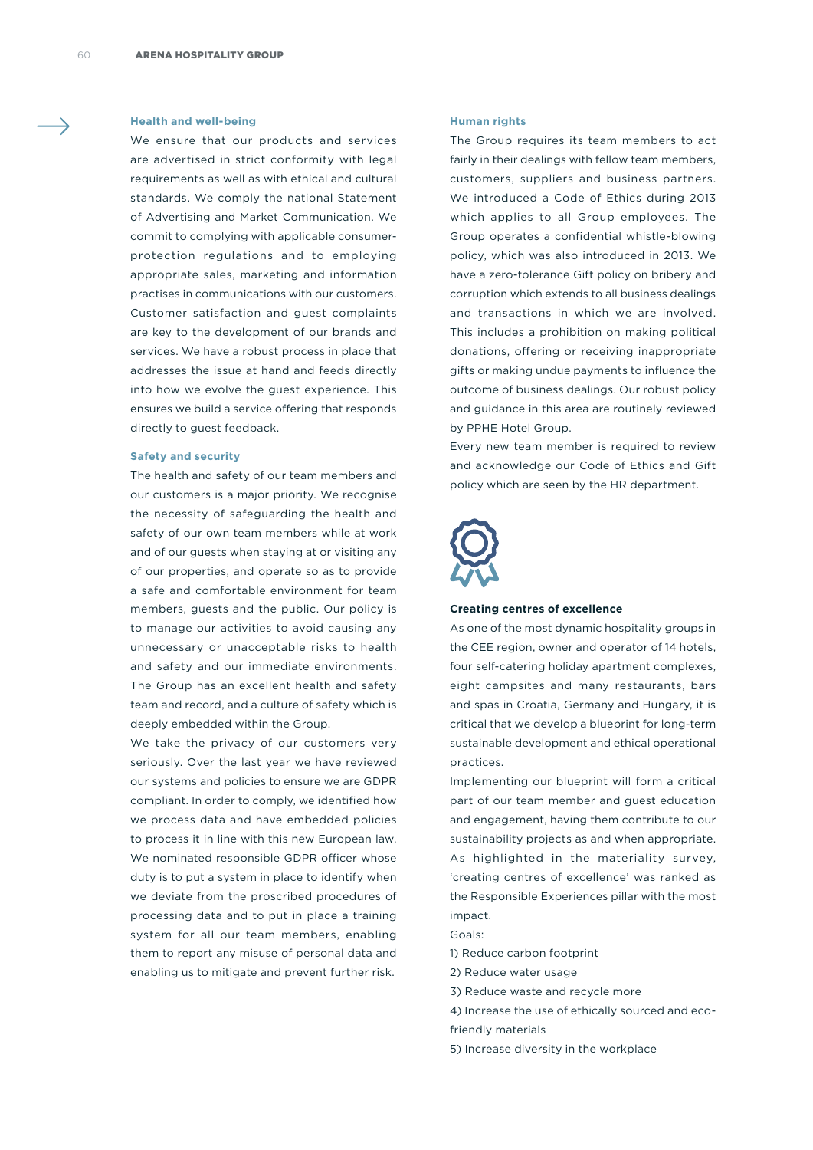#### **Health and well-being**

We ensure that our products and services are advertised in strict conformity with legal requirements as well as with ethical and cultural standards. We comply the national Statement of Advertising and Market Communication. We commit to complying with applicable consumerprotection regulations and to employing appropriate sales, marketing and information practises in communications with our customers. Customer satisfaction and guest complaints are key to the development of our brands and services. We have a robust process in place that addresses the issue at hand and feeds directly into how we evolve the guest experience. This ensures we build a service offering that responds directly to guest feedback.

#### **Safety and security**

The health and safety of our team members and our customers is a major priority. We recognise the necessity of safeguarding the health and safety of our own team members while at work and of our guests when staying at or visiting any of our properties, and operate so as to provide a safe and comfortable environment for team members, guests and the public. Our policy is to manage our activities to avoid causing any unnecessary or unacceptable risks to health and safety and our immediate environments. The Group has an excellent health and safety team and record, and a culture of safety which is deeply embedded within the Group.

We take the privacy of our customers very seriously. Over the last year we have reviewed our systems and policies to ensure we are GDPR compliant. In order to comply, we identified how we process data and have embedded policies to process it in line with this new European law. We nominated responsible GDPR officer whose duty is to put a system in place to identify when we deviate from the proscribed procedures of processing data and to put in place a training system for all our team members, enabling them to report any misuse of personal data and enabling us to mitigate and prevent further risk.

#### **Human rights**

The Group requires its team members to act fairly in their dealings with fellow team members, customers, suppliers and business partners. We introduced a Code of Ethics during 2013 which applies to all Group employees. The Group operates a confidential whistle-blowing policy, which was also introduced in 2013. We have a zero-tolerance Gift policy on bribery and corruption which extends to all business dealings and transactions in which we are involved. This includes a prohibition on making political donations, offering or receiving inappropriate gifts or making undue payments to influence the outcome of business dealings. Our robust policy and guidance in this area are routinely reviewed by PPHE Hotel Group.

Every new team member is required to review and acknowledge our Code of Ethics and Gift policy which are seen by the HR department.



#### **Creating centres of excellence**

As one of the most dynamic hospitality groups in the CEE region, owner and operator of 14 hotels, four self-catering holiday apartment complexes, eight campsites and many restaurants, bars and spas in Croatia, Germany and Hungary, it is critical that we develop a blueprint for long-term sustainable development and ethical operational practices.

Implementing our blueprint will form a critical part of our team member and guest education and engagement, having them contribute to our sustainability projects as and when appropriate. As highlighted in the materiality survey, 'creating centres of excellence' was ranked as the Responsible Experiences pillar with the most impact.

- Goals:
- 1) Reduce carbon footprint
- 2) Reduce water usage
- 3) Reduce waste and recycle more
- 4) Increase the use of ethically sourced and eco-
- friendly materials
- 5) Increase diversity in the workplace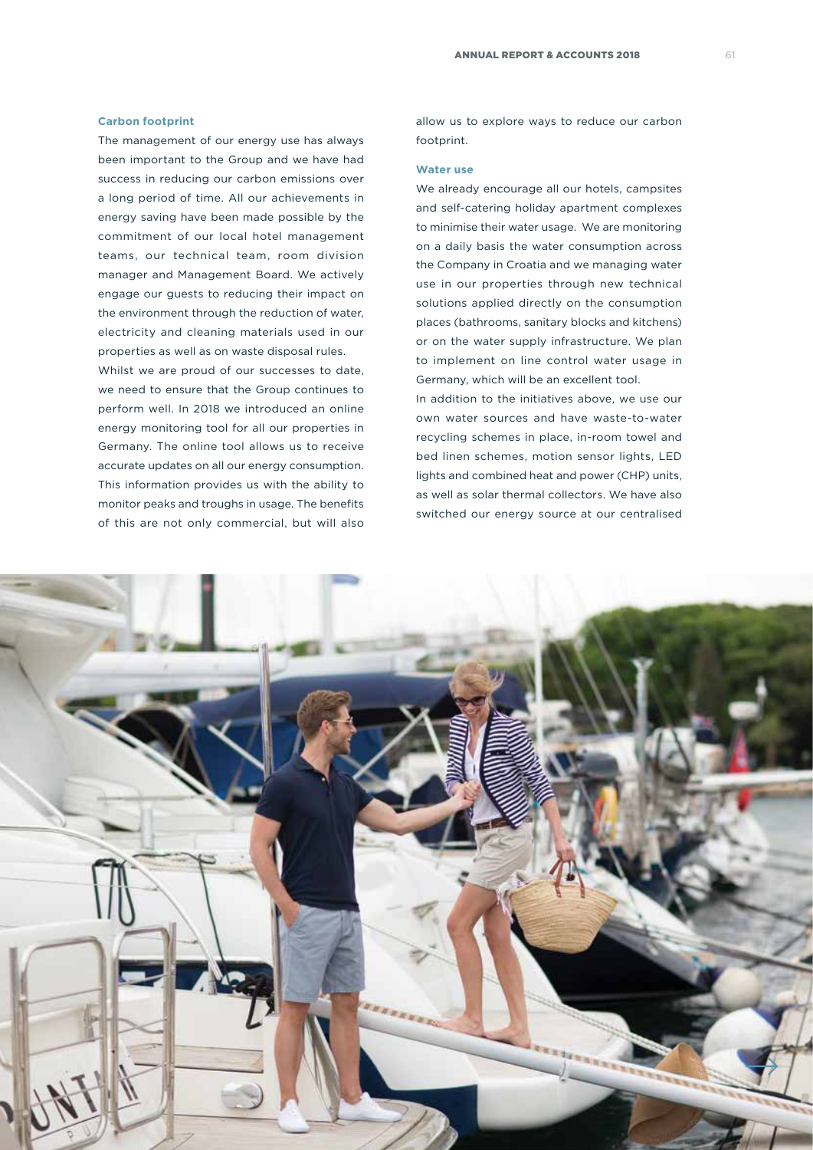#### **Carbon footprint**

The management of our energy use has always been important to the Group and we have had success in reducing our carbon emissions over a long period of time. All our achievements in energy saving have been made possible by the commitment of our local hotel management teams, our technical team, room division manager and Management Board. We actively engage our guests to reducing their impact on the environment through the reduction of water, electricity and cleaning materials used in our properties as well as on waste disposal rules.

Whilst we are proud of our successes to date, we need to ensure that the Group continues to perform well. In 2018 we introduced an online energy monitoring tool for all our properties in Germany. The online tool allows us to receive accurate updates on all our energy consumption. This information provides us with the ability to monitor peaks and troughs in usage. The benefits of this are not only commercial, but will also

allow us to explore ways to reduce our carbon footprint.

#### **Water use**

We already encourage all our hotels, campsites and self-catering holiday apartment complexes to minimise their water usage. We are monitoring on a daily basis the water consumption across the Company in Croatia and we managing water use in our properties through new technical solutions applied directly on the consumption places (bathrooms, sanitary blocks and kitchens) or on the water supply infrastructure. We plan to implement on line control water usage in Germany, which will be an excellent tool.

In addition to the initiatives above, we use our own water sources and have waste-to-water recycling schemes in place, in-room towel and bed linen schemes, motion sensor lights, LED lights and combined heat and power (CHP) units, as well as solar thermal collectors. We have also switched our energy source at our centralised

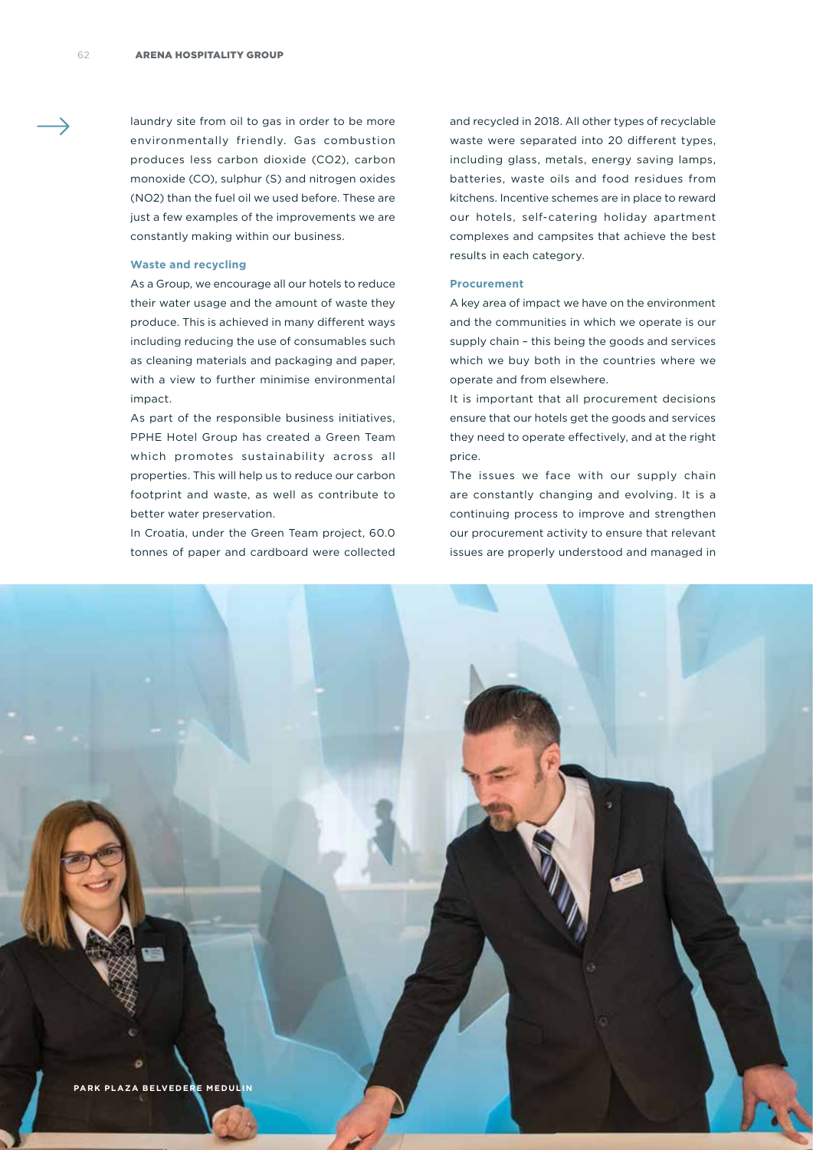laundry site from oil to gas in order to be more environmentally friendly. Gas combustion produces less carbon dioxide (CO2), carbon monoxide (CO), sulphur (S) and nitrogen oxides (NO2) than the fuel oil we used before. These are just a few examples of the improvements we are constantly making within our business.

#### **Waste and recycling**

As a Group, we encourage all our hotels to reduce their water usage and the amount of waste they produce. This is achieved in many different ways including reducing the use of consumables such as cleaning materials and packaging and paper, with a view to further minimise environmental impact.

As part of the responsible business initiatives, PPHE Hotel Group has created a Green Team which promotes sustainability across all properties. This will help us to reduce our carbon footprint and waste, as well as contribute to better water preservation.

In Croatia, under the Green Team project, 60.0 tonnes of paper and cardboard were collected and recycled in 2018. All other types of recyclable waste were separated into 20 different types, including glass, metals, energy saving lamps, batteries, waste oils and food residues from kitchens. Incentive schemes are in place to reward our hotels, self-catering holiday apartment complexes and campsites that achieve the best results in each category.

#### **Procurement**

A key area of impact we have on the environment and the communities in which we operate is our supply chain – this being the goods and services which we buy both in the countries where we operate and from elsewhere.

It is important that all procurement decisions ensure that our hotels get the goods and services they need to operate effectively, and at the right price.

The issues we face with our supply chain are constantly changing and evolving. It is a continuing process to improve and strengthen our procurement activity to ensure that relevant issues are properly understood and managed in

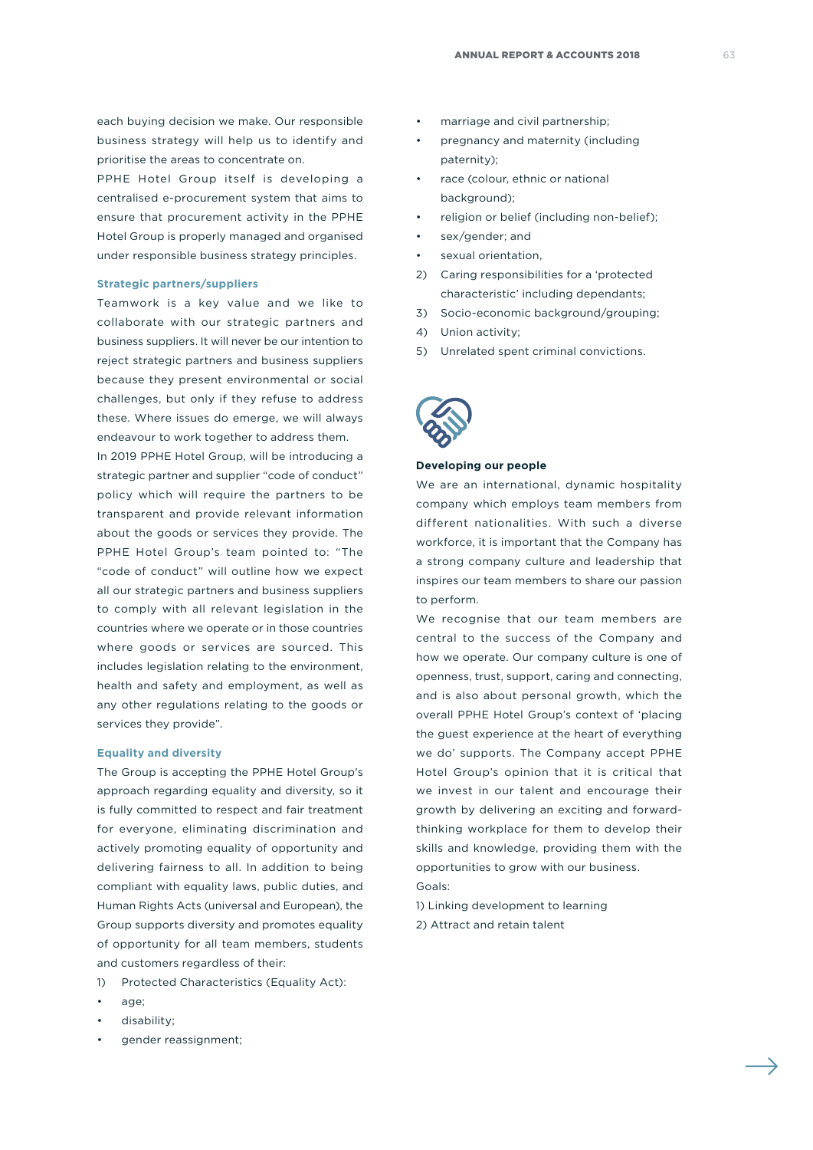each buying decision we make. Our responsible business strategy will help us to identify and prioritise the areas to concentrate on.

PPHE Hotel Group itself is developing a centralised e-procurement system that aims to ensure that procurement activity in the PPHE Hotel Group is properly managed and organised under responsible business strategy principles.

#### **Strategic partners/suppliers**

Teamwork is a key value and we like to collaborate with our strategic partners and business suppliers. It will never be our intention to reject strategic partners and business suppliers because they present environmental or social challenges, but only if they refuse to address these. Where issues do emerge, we will always endeavour to work together to address them.

In 2019 PPHE Hotel Group, will be introducing a strategic partner and supplier "code of conduct" policy which will require the partners to be transparent and provide relevant information about the goods or services they provide. The PPHE Hotel Group's team pointed to: "The "code of conduct" will outline how we expect all our strategic partners and business suppliers to comply with all relevant legislation in the countries where we operate or in those countries where goods or services are sourced. This includes legislation relating to the environment, health and safety and employment, as well as any other regulations relating to the goods or services they provide".

#### **Equality and diversity**

The Group is accepting the PPHE Hotel Group's approach regarding equality and diversity, so it is fully committed to respect and fair treatment for everyone, eliminating discrimination and actively promoting equality of opportunity and delivering fairness to all. In addition to being compliant with equality laws, public duties, and Human Rights Acts (universal and European), the Group supports diversity and promotes equality of opportunity for all team members, students and customers regardless of their:

- 1) Protected Characteristics (Equality Act):
- age:
- disability;
- gender reassignment;
- marriage and civil partnership;
- pregnancy and maternity (including paternity);
- race (colour, ethnic or national background);
- religion or belief (including non-belief);
- sex/gender; and
- sexual orientation.
- 2) Caring responsibilities for a 'protected characteristic' including dependants;
- 3) Socio-economic background/grouping;
- 4) Union activity;
- 5) Unrelated spent criminal convictions.



#### **Developing our people**

We are an international, dynamic hospitality company which employs team members from different nationalities. With such a diverse workforce, it is important that the Company has a strong company culture and leadership that inspires our team members to share our passion to perform.

We recognise that our team members are central to the success of the Company and how we operate. Our company culture is one of openness, trust, support, caring and connecting, and is also about personal growth, which the overall PPHE Hotel Group's context of 'placing the guest experience at the heart of everything we do' supports. The Company accept PPHE Hotel Group's opinion that it is critical that we invest in our talent and encourage their growth by delivering an exciting and forwardthinking workplace for them to develop their skills and knowledge, providing them with the opportunities to grow with our business. Goals:

1) Linking development to learning 2) Attract and retain talent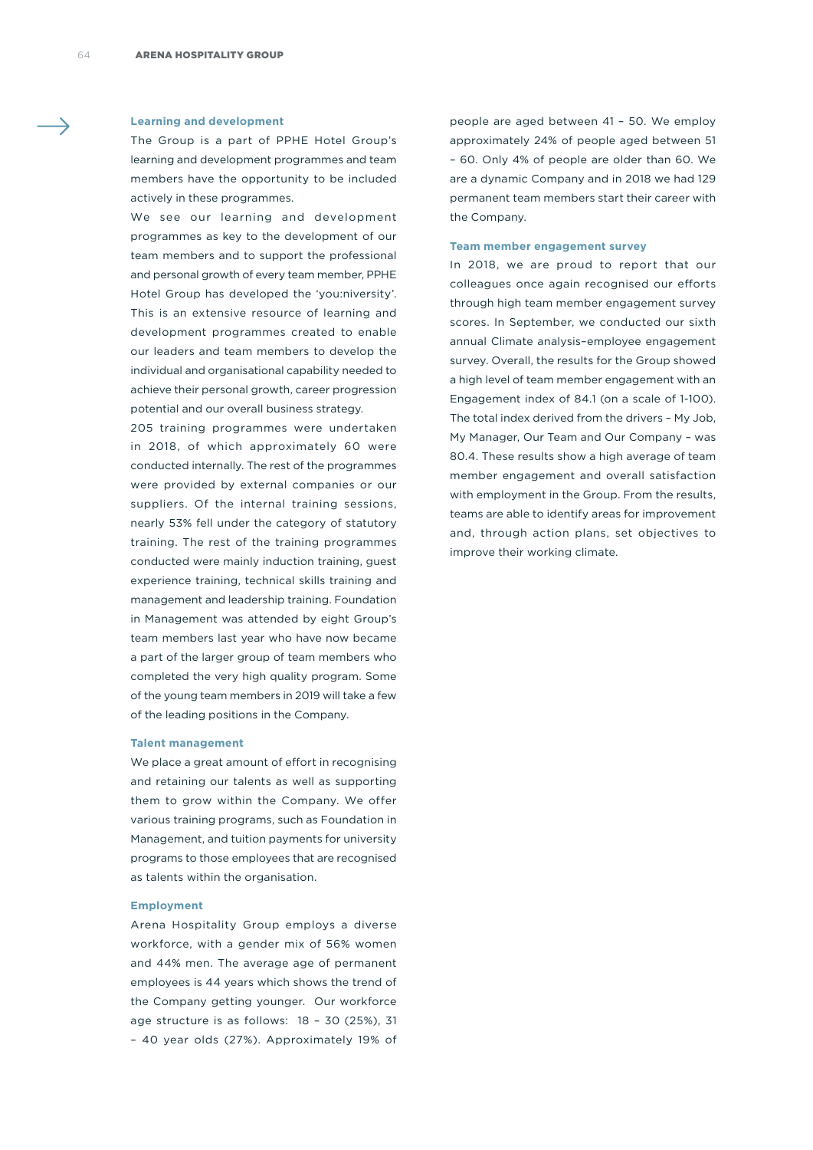#### **Learning and development**

The Group is a part of PPHE Hotel Group's learning and development programmes and team members have the opportunity to be included actively in these programmes.

We see our learning and development programmes as key to the development of our team members and to support the professional and personal growth of every team member, PPHE Hotel Group has developed the 'you:niversity'. This is an extensive resource of learning and development programmes created to enable our leaders and team members to develop the individual and organisational capability needed to achieve their personal growth, career progression potential and our overall business strategy.

205 training programmes were undertaken in 2018, of which approximately 60 were conducted internally. The rest of the programmes were provided by external companies or our suppliers. Of the internal training sessions, nearly 53% fell under the category of statutory training. The rest of the training programmes conducted were mainly induction training, guest experience training, technical skills training and management and leadership training. Foundation in Management was attended by eight Group's team members last year who have now became a part of the larger group of team members who completed the very high quality program. Some of the young team members in 2019 will take a few of the leading positions in the Company.

#### **Talent management**

We place a great amount of effort in recognising and retaining our talents as well as supporting them to grow within the Company. We offer various training programs, such as Foundation in Management, and tuition payments for university programs to those employees that are recognised as talents within the organisation.

#### **Employment**

Arena Hospitality Group employs a diverse workforce, with a gender mix of 56% women and 44% men. The average age of permanent employees is 44 years which shows the trend of the Company getting younger. Our workforce age structure is as follows: 18 – 30 (25%), 31 – 40 year olds (27%). Approximately 19% of

people are aged between 41 – 50. We employ approximately 24% of people aged between 51 – 60. Only 4% of people are older than 60. We are a dynamic Company and in 2018 we had 129 permanent team members start their career with the Company.

#### **Team member engagement survey**

In 2018, we are proud to report that our colleagues once again recognised our efforts through high team member engagement survey scores. In September, we conducted our sixth annual Climate analysis–employee engagement survey. Overall, the results for the Group showed a high level of team member engagement with an Engagement index of 84.1 (on a scale of 1-100). The total index derived from the drivers – My Job, My Manager, Our Team and Our Company – was 80.4. These results show a high average of team member engagement and overall satisfaction with employment in the Group. From the results, teams are able to identify areas for improvement and, through action plans, set objectives to improve their working climate.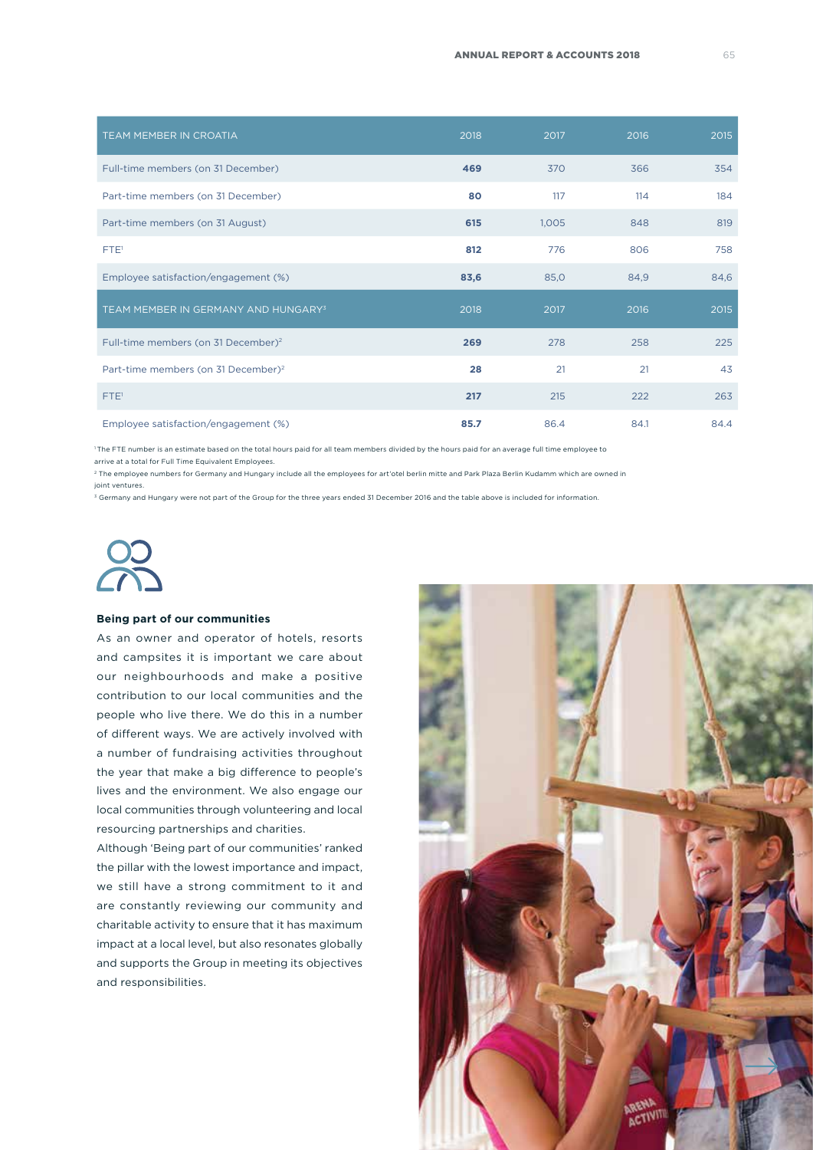| TEAM MEMBER IN CROATIA                          | 2018 | 2017  | 2016 | 2015 |
|-------------------------------------------------|------|-------|------|------|
| Full-time members (on 31 December)              | 469  | 370   | 366  | 354  |
| Part-time members (on 31 December)              | 80   | 117   | 114  | 184  |
| Part-time members (on 31 August)                | 615  | 1,005 | 848  | 819  |
| FTE <sup>T</sup>                                | 812  | 776   | 806  | 758  |
| Employee satisfaction/engagement (%)            | 83,6 | 85,0  | 84,9 | 84,6 |
| TEAM MEMBER IN GERMANY AND HUNGARY <sup>3</sup> | 2018 | 2017  | 2016 | 2015 |
| Full-time members (on 31 December) <sup>2</sup> | 269  | 278   | 258  | 225  |
| Part-time members (on 31 December) <sup>2</sup> | 28   | 21    | 21   | 43   |
| FTE <sup>1</sup>                                | 217  | 215   | 222  | 263  |
| Employee satisfaction/engagement (%)            | 85.7 | 86.4  | 84.1 | 84.4 |

<sup>1</sup> The FTE number is an estimate based on the total hours paid for all team members divided by the hours paid for an average full time employee to

arrive at a total for Full Time Equivalent Employees.

<sup>2</sup> The employee numbers for Germany and Hungary include all the employees for art'otel berlin mitte and Park Plaza Berlin Kudamm which are owned in joint ventures.

<sup>3</sup> Germany and Hungary were not part of the Group for the three years ended 31 December 2016 and the table above is included for information.



#### **Being part of our communities**

As an owner and operator of hotels, resorts and campsites it is important we care about our neighbourhoods and make a positive contribution to our local communities and the people who live there. We do this in a number of different ways. We are actively involved with a number of fundraising activities throughout the year that make a big difference to people's lives and the environment. We also engage our local communities through volunteering and local resourcing partnerships and charities.

Although 'Being part of our communities' ranked the pillar with the lowest importance and impact, we still have a strong commitment to it and are constantly reviewing our community and charitable activity to ensure that it has maximum impact at a local level, but also resonates globally and supports the Group in meeting its objectives and responsibilities.

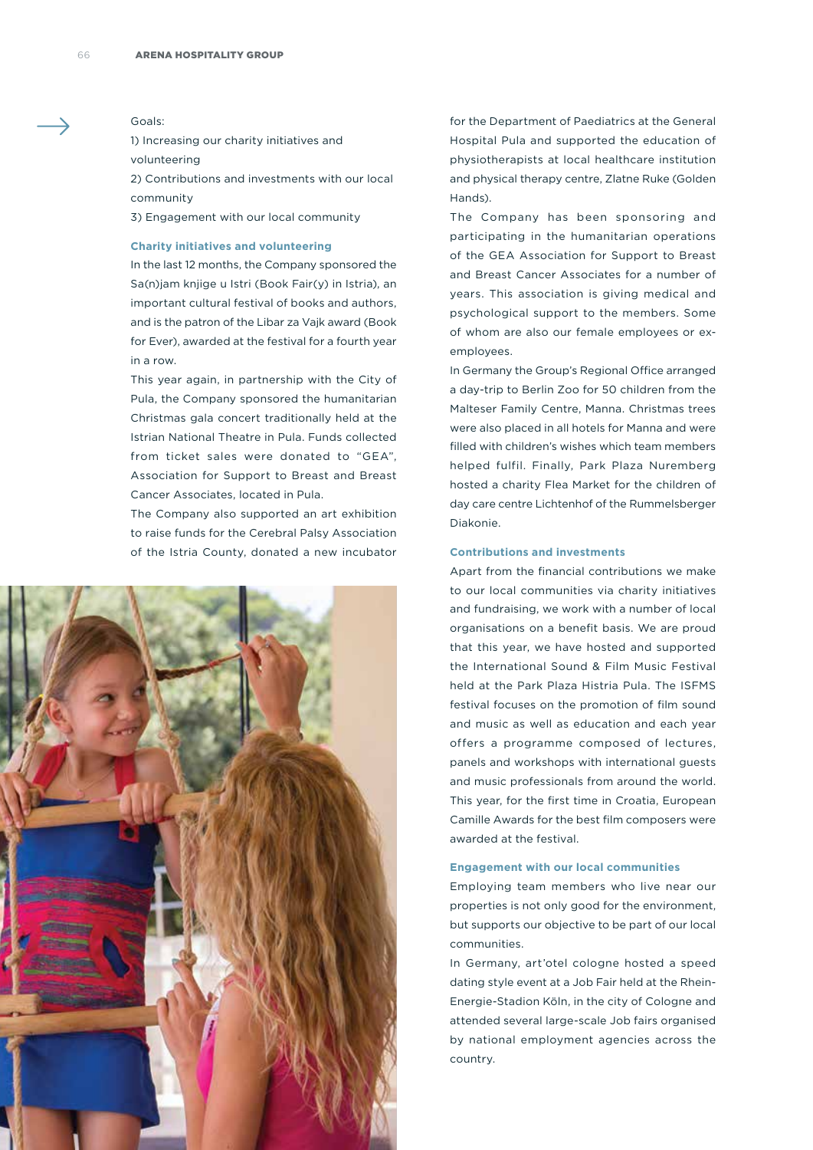#### Goals:

1) Increasing our charity initiatives and volunteering

2) Contributions and investments with our local community

3) Engagement with our local community

#### **Charity initiatives and volunteering**

In the last 12 months, the Company sponsored the Sa(n)jam knjige u Istri (Book Fair(y) in Istria), an important cultural festival of books and authors, and is the patron of the Libar za Vajk award (Book for Ever), awarded at the festival for a fourth year in a row.

This year again, in partnership with the City of Pula, the Company sponsored the humanitarian Christmas gala concert traditionally held at the Istrian National Theatre in Pula. Funds collected from ticket sales were donated to "GEA", Association for Support to Breast and Breast Cancer Associates, located in Pula.

The Company also supported an art exhibition to raise funds for the Cerebral Palsy Association of the Istria County, donated a new incubator



for the Department of Paediatrics at the General Hospital Pula and supported the education of physiotherapists at local healthcare institution and physical therapy centre, Zlatne Ruke (Golden Hands).

The Company has been sponsoring and participating in the humanitarian operations of the GEA Association for Support to Breast and Breast Cancer Associates for a number of years. This association is giving medical and psychological support to the members. Some of whom are also our female employees or exemployees.

In Germany the Group's Regional Office arranged a day-trip to Berlin Zoo for 50 children from the Malteser Family Centre, Manna. Christmas trees were also placed in all hotels for Manna and were filled with children's wishes which team members helped fulfil. Finally, Park Plaza Nuremberg hosted a charity Flea Market for the children of day care centre Lichtenhof of the Rummelsberger Diakonie.

#### **Contributions and investments**

Apart from the financial contributions we make to our local communities via charity initiatives and fundraising, we work with a number of local organisations on a benefit basis. We are proud that this year, we have hosted and supported the International Sound & Film Music Festival held at the Park Plaza Histria Pula. The ISFMS festival focuses on the promotion of film sound and music as well as education and each year offers a programme composed of lectures, panels and workshops with international guests and music professionals from around the world. This year, for the first time in Croatia, European Camille Awards for the best film composers were awarded at the festival.

#### **Engagement with our local communities**

Employing team members who live near our properties is not only good for the environment, but supports our objective to be part of our local communities.

In Germany, art'otel cologne hosted a speed dating style event at a Job Fair held at the Rhein-Energie-Stadion Köln, in the city of Cologne and attended several large-scale Job fairs organised by national employment agencies across the country.